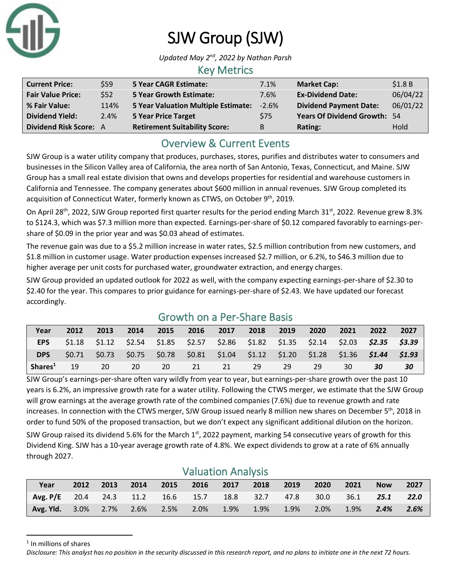

# SJW Group (SJW)

Updated May 2<sup>nd</sup>, 2022 by Nathan Parsh

### Key Metrics

| <b>Current Price:</b>         | \$59 | <b>5 Year CAGR Estimate:</b>         | 7.1%    | <b>Market Cap:</b>                  | \$1.8B   |
|-------------------------------|------|--------------------------------------|---------|-------------------------------------|----------|
| <b>Fair Value Price:</b>      | \$52 | <b>5 Year Growth Estimate:</b>       | 7.6%    | <b>Ex-Dividend Date:</b>            | 06/04/22 |
| % Fair Value:                 | 114% | 5 Year Valuation Multiple Estimate:  | $-2.6%$ | <b>Dividend Payment Date:</b>       | 06/01/22 |
| <b>Dividend Yield:</b>        | 2.4% | <b>5 Year Price Target</b>           | \$75    | <b>Years Of Dividend Growth: 54</b> |          |
| <b>Dividend Risk Score: A</b> |      | <b>Retirement Suitability Score:</b> | B       | Rating:                             | Hold     |

## Overview & Current Events

SJW Group is a water utility company that produces, purchases, stores, purifies and distributes water to consumers and businesses in the Silicon Valley area of California, the area north of San Antonio, Texas, Connecticut, and Maine. SJW Group has a small real estate division that owns and develops properties for residential and warehouse customers in California and Tennessee. The company generates about \$600 million in annual revenues. SJW Group completed its acquisition of Connecticut Water, formerly known as CTWS, on October 9<sup>th</sup>, 2019.

On April 28<sup>th</sup>, 2022, SJW Group reported first quarter results for the period ending March 31<sup>st</sup>, 2022. Revenue grew 8.3% to \$124.3, which was \$7.3 million more than expected. Earnings-per-share of \$0.12 compared favorably to earnings-pershare of \$0.09 in the prior year and was \$0.03 ahead of estimates.

The revenue gain was due to a \$5.2 million increase in water rates, \$2.5 million contribution from new customers, and \$1.8 million in customer usage. Water production expenses increased \$2.7 million, or 6.2%, to \$46.3 million due to higher average per unit costs for purchased water, groundwater extraction, and energy charges.

SJW Group provided an updated outlook for 2022 as well, with the company expecting earnings-per-share of \$2.30 to \$2.40 for the year. This compares to prior guidance for earnings-per-share of \$2.43. We have updated our forecast accordingly.

| Year                | 2012 | 2013 | 2014 |           | 2015 2016 2017 2018                                                                             |       | 2019 | 2020 | 2021 | 2022 | 2027 |
|---------------------|------|------|------|-----------|-------------------------------------------------------------------------------------------------|-------|------|------|------|------|------|
| EPS                 |      |      |      |           | $$1.18$ $$1.12$ $$2.54$ $$1.85$ $$2.57$ $$2.86$ $$1.82$ $$1.35$ $$2.14$ $$2.03$ $$2.35$ $$3.39$ |       |      |      |      |      |      |
| <b>DPS</b>          |      |      |      |           | \$0.71 \$0.73 \$0.75 \$0.78 \$0.81 \$1.04 \$1.12 \$1.20 \$1.28 \$1.36 <b>\$1.44 \$1.93</b>      |       |      |      |      |      |      |
| Shares <sup>1</sup> | 19   | -20  | -20  | <b>20</b> | 21                                                                                              | 21 29 | - 29 | -29  | 30   | 30   | 30   |

## Growth on a Per-Share Basis

SJW Group's earnings-per-share often vary wildly from year to year, but earnings-per-share growth over the past 10 years is 6.2%, an impressive growth rate for a water utility. Following the CTWS merger, we estimate that the SJW Group will grow earnings at the average growth rate of the combined companies (7.6%) due to revenue growth and rate increases. In connection with the CTWS merger, SJW Group issued nearly 8 million new shares on December  $5<sup>th</sup>$ , 2018 in order to fund 50% of the proposed transaction, but we don't expect any significant additional dilution on the horizon.

SJW Group raised its dividend 5.6% for the March  $1<sup>st</sup>$ , 2022 payment, marking 54 consecutive years of growth for this Dividend King. SJW has a 10-year average growth rate of 4.8%. We expect dividends to grow at a rate of 6% annually through 2027.

| <b>Valuation Analysis</b>                   |      |      |      |         |         |           |         |         |         |        |            |      |
|---------------------------------------------|------|------|------|---------|---------|-----------|---------|---------|---------|--------|------------|------|
| Year                                        | 2012 | 2013 | 2014 | 2015    |         | 2016 2017 | 2018    | 2019    | 2020    | 2021   | <b>Now</b> | 2027 |
| Avg. P/E 20.4 24.3 11.2 16.6 15.7 18.8 32.7 |      |      |      |         |         |           |         | 47.8    | 30.0    | - 36.1 | 25.1       | 22.0 |
| <b>Avg. Yld.</b> 3.0% 2.7% 2.6%             |      |      |      | $2.5\%$ | $2.0\%$ | 1.9%      | $1.9\%$ | $1.9\%$ | $2.0\%$ | 1.9%   | 2.4%       | 2.6% |

<sup>1</sup> In millions of shares

*Disclosure: This analyst has no position in the security discussed in this research report, and no plans to initiate one in the next 72 hours.*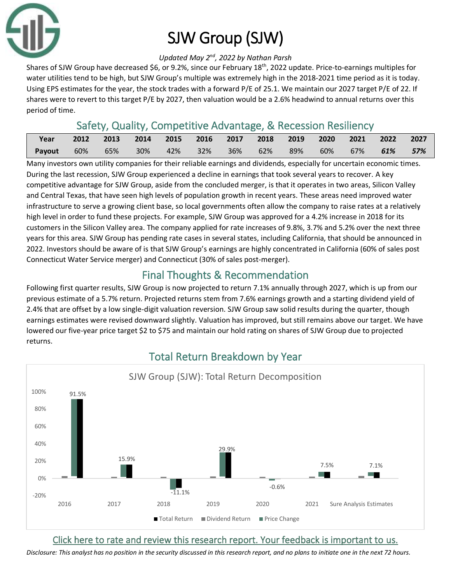

# SJW Group (SJW)

#### Updated May 2<sup>nd</sup>, 2022 by Nathan Parsh

Shares of SJW Group have decreased \$6, or 9.2%, since our February 18th, 2022 update. Price-to-earnings multiples for water utilities tend to be high, but SJW Group's multiple was extremely high in the 2018-2021 time period as it is today. Using EPS estimates for the year, the stock trades with a forward P/E of 25.1. We maintain our 2027 target P/E of 22. If shares were to revert to this target P/E by 2027, then valuation would be a 2.6% headwind to annual returns over this period of time.

### Safety, Quality, Competitive Advantage, & Recession Resiliency

| Year   | 2012 | $\sim$ 2013 | 2014 |          | 2015 2016 2017 2018 2019 2020 2021 2022 2027 |  |     |     |        |     |
|--------|------|-------------|------|----------|----------------------------------------------|--|-----|-----|--------|-----|
| Payout | 60%  | 65%         | 30%  | 42%  32% | 36% 62% 89%                                  |  | 60% | 67% | $61\%$ | 57% |

Many investors own utility companies for their reliable earnings and dividends, especially for uncertain economic times. During the last recession, SJW Group experienced a decline in earnings that took several years to recover. A key competitive advantage for SJW Group, aside from the concluded merger, is that it operates in two areas, Silicon Valley and Central Texas, that have seen high levels of population growth in recent years. These areas need improved water infrastructure to serve a growing client base, so local governments often allow the company to raise rates at a relatively high level in order to fund these projects. For example, SJW Group was approved for a 4.2% increase in 2018 for its customers in the Silicon Valley area. The company applied for rate increases of 9.8%, 3.7% and 5.2% over the next three years for this area. SJW Group has pending rate cases in several states, including California, that should be announced in 2022. Investors should be aware of is that SJW Group's earnings are highly concentrated in California (60% of sales post Connecticut Water Service merger) and Connecticut (30% of sales post-merger).

## Final Thoughts & Recommendation

Following first quarter results, SJW Group is now projected to return 7.1% annually through 2027, which is up from our previous estimate of a 5.7% return. Projected returns stem from 7.6% earnings growth and a starting dividend yield of 2.4% that are offset by a low single-digit valuation reversion. SJW Group saw solid results during the quarter, though earnings estimates were revised downward slightly. Valuation has improved, but still remains above our target. We have lowered our five-year price target \$2 to \$75 and maintain our hold rating on shares of SJW Group due to projected returns.



## Total Return Breakdown by Year

### [Click here to rate and review this research report. Your feedback is important to us.](https://suredividend.typeform.com/to/pOfbkh)

*Disclosure: This analyst has no position in the security discussed in this research report, and no plans to initiate one in the next 72 hours.*